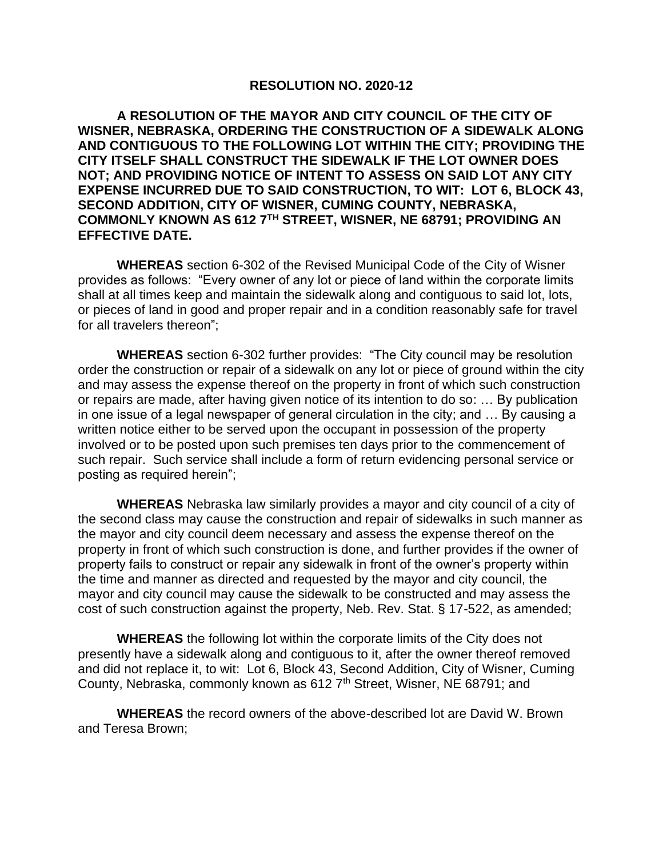## **RESOLUTION NO. 2020-12**

**A RESOLUTION OF THE MAYOR AND CITY COUNCIL OF THE CITY OF WISNER, NEBRASKA, ORDERING THE CONSTRUCTION OF A SIDEWALK ALONG AND CONTIGUOUS TO THE FOLLOWING LOT WITHIN THE CITY; PROVIDING THE CITY ITSELF SHALL CONSTRUCT THE SIDEWALK IF THE LOT OWNER DOES NOT; AND PROVIDING NOTICE OF INTENT TO ASSESS ON SAID LOT ANY CITY EXPENSE INCURRED DUE TO SAID CONSTRUCTION, TO WIT: LOT 6, BLOCK 43, SECOND ADDITION, CITY OF WISNER, CUMING COUNTY, NEBRASKA, COMMONLY KNOWN AS 612 7TH STREET, WISNER, NE 68791; PROVIDING AN EFFECTIVE DATE.**

**WHEREAS** section 6-302 of the Revised Municipal Code of the City of Wisner provides as follows: "Every owner of any lot or piece of land within the corporate limits shall at all times keep and maintain the sidewalk along and contiguous to said lot, lots, or pieces of land in good and proper repair and in a condition reasonably safe for travel for all travelers thereon";

**WHEREAS** section 6-302 further provides: "The City council may be resolution order the construction or repair of a sidewalk on any lot or piece of ground within the city and may assess the expense thereof on the property in front of which such construction or repairs are made, after having given notice of its intention to do so: … By publication in one issue of a legal newspaper of general circulation in the city; and … By causing a written notice either to be served upon the occupant in possession of the property involved or to be posted upon such premises ten days prior to the commencement of such repair. Such service shall include a form of return evidencing personal service or posting as required herein";

**WHEREAS** Nebraska law similarly provides a mayor and city council of a city of the second class may cause the construction and repair of sidewalks in such manner as the mayor and city council deem necessary and assess the expense thereof on the property in front of which such construction is done, and further provides if the owner of property fails to construct or repair any sidewalk in front of the owner's property within the time and manner as directed and requested by the mayor and city council, the mayor and city council may cause the sidewalk to be constructed and may assess the cost of such construction against the property, Neb. Rev. Stat. § 17-522, as amended;

**WHEREAS** the following lot within the corporate limits of the City does not presently have a sidewalk along and contiguous to it, after the owner thereof removed and did not replace it, to wit: Lot 6, Block 43, Second Addition, City of Wisner, Cuming County, Nebraska, commonly known as 612 7<sup>th</sup> Street, Wisner, NE 68791; and

**WHEREAS** the record owners of the above-described lot are David W. Brown and Teresa Brown;